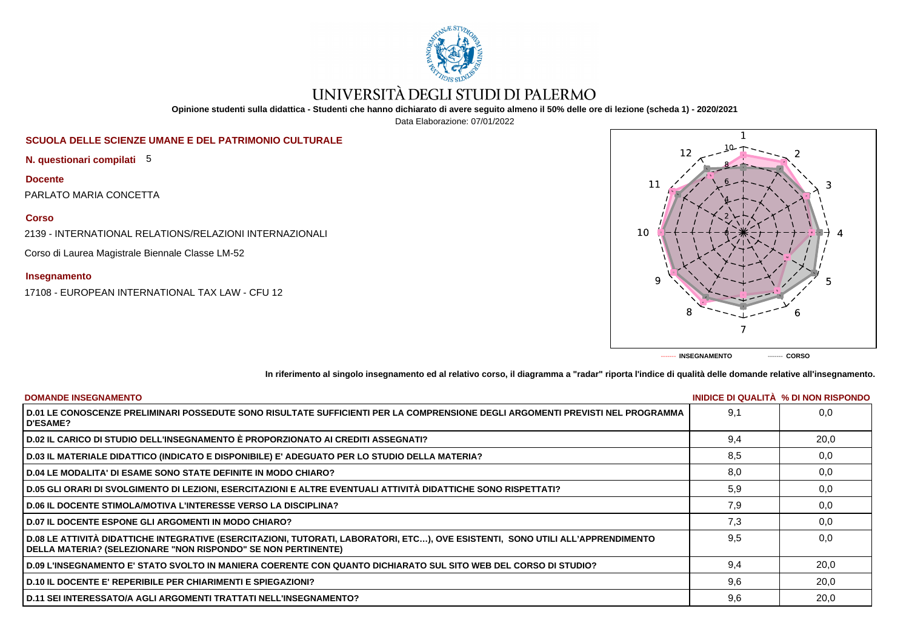

# UNIVERSITÀ DEGLI STUDI DI PALERMO

**Opinione studenti sulla didattica - Studenti che hanno dichiarato di avere seguito almeno il 50% delle ore di lezione (scheda 1) - 2020/2021**

Data Elaborazione: 07/01/2022

## **SCUOLA DELLE SCIENZE UMANE E DEL PATRIMONIO CULTURALE**

**N. questionari compilati** 5

**Docente**

PARLATO MARIA CONCETTA

### **Corso**

2139 - INTERNATIONAL RELATIONS/RELAZIONI INTERNAZIONALI

Corso di Laurea Magistrale Biennale Classe LM-52

### **Insegnamento**

17108 - EUROPEAN INTERNATIONAL TAX LAW - CFU 12



**In riferimento al singolo insegnamento ed al relativo corso, il diagramma a "radar" riporta l'indice di qualità delle domande relative all'insegnamento.**

| <b>DOMANDE INSEGNAMENTO</b>                                                                                                                                                                      |     | INIDICE DI QUALITA % DI NON RISPONDO |
|--------------------------------------------------------------------------------------------------------------------------------------------------------------------------------------------------|-----|--------------------------------------|
| D.01 LE CONOSCENZE PRELIMINARI POSSEDUTE SONO RISULTATE SUFFICIENTI PER LA COMPRENSIONE DEGLI ARGOMENTI PREVISTI NEL PROGRAMMA<br><b>D'ESAME?</b>                                                | 9.1 | 0.0                                  |
| D.02 IL CARICO DI STUDIO DELL'INSEGNAMENTO È PROPORZIONATO AI CREDITI ASSEGNATI?                                                                                                                 | 9.4 | 20,0                                 |
| D.03 IL MATERIALE DIDATTICO (INDICATO E DISPONIBILE) E' ADEGUATO PER LO STUDIO DELLA MATERIA?                                                                                                    | 8,5 | 0,0                                  |
| <b>D.04 LE MODALITA' DI ESAME SONO STATE DEFINITE IN MODO CHIARO?</b>                                                                                                                            | 8,0 | 0,0                                  |
| D.05 GLI ORARI DI SVOLGIMENTO DI LEZIONI, ESERCITAZIONI E ALTRE EVENTUALI ATTIVITÀ DIDATTICHE SONO RISPETTATI?                                                                                   | 5,9 | 0,0                                  |
| <b>D.06 IL DOCENTE STIMOLA/MOTIVA L'INTERESSE VERSO LA DISCIPLINA?</b>                                                                                                                           | 7.9 | 0.0                                  |
| <b>D.07 IL DOCENTE ESPONE GLI ARGOMENTI IN MODO CHIARO?</b>                                                                                                                                      | 7,3 | 0,0                                  |
| D.08 LE ATTIVITÀ DIDATTICHE INTEGRATIVE (ESERCITAZIONI, TUTORATI, LABORATORI, ETC), OVE ESISTENTI, SONO UTILI ALL'APPRENDIMENTO<br>DELLA MATERIA? (SELEZIONARE "NON RISPONDO" SE NON PERTINENTE) | 9.5 | 0.0                                  |
| D.09 L'INSEGNAMENTO E' STATO SVOLTO IN MANIERA COERENTE CON QUANTO DICHIARATO SUL SITO WEB DEL CORSO DI STUDIO?                                                                                  | 9.4 | 20,0                                 |
| <b>D.10 IL DOCENTE E' REPERIBILE PER CHIARIMENTI E SPIEGAZIONI?</b>                                                                                                                              | 9.6 | 20,0                                 |
| D.11 SEI INTERESSATO/A AGLI ARGOMENTI TRATTATI NELL'INSEGNAMENTO?                                                                                                                                | 9.6 | 20,0                                 |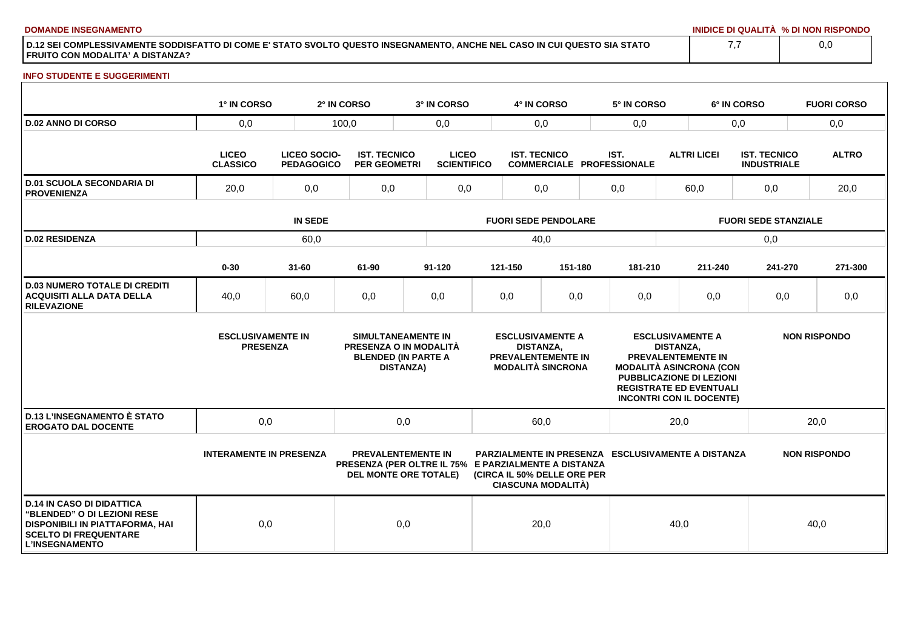**DOMANDE INSEGNAMENTO INIDICE DI QUALITÀ % DI NON RISPONDO**

**D.12 SEI COMPLESSIVAMENTE SODDISFATTO DI COME E' STATO SVOLTO QUESTO INSEGNAMENTO, ANCHE NEL CASO IN CUI QUESTO SIA STATO FRUITO CON MODALITA' A DISTANZA?**

### **INFO STUDENTE E SUGGERIMENTI**

|                                                                                                                                                             | 1° IN CORSO                                 |                                   | 2° IN CORSO                                | 3° IN CORSO                                                                                                       |                             | 4° IN CORSO         |                                                                                  |      | 5° IN CORSO |                                                                                                                                                                                                                    | 6° IN CORSO                               |         | <b>FUORI CORSO</b>  |
|-------------------------------------------------------------------------------------------------------------------------------------------------------------|---------------------------------------------|-----------------------------------|--------------------------------------------|-------------------------------------------------------------------------------------------------------------------|-----------------------------|---------------------|----------------------------------------------------------------------------------|------|-------------|--------------------------------------------------------------------------------------------------------------------------------------------------------------------------------------------------------------------|-------------------------------------------|---------|---------------------|
| <b>D.02 ANNO DI CORSO</b>                                                                                                                                   | 0,0                                         |                                   | 100,0                                      | 0,0                                                                                                               |                             |                     | 0,0                                                                              | 0,0  |             |                                                                                                                                                                                                                    | 0,0                                       |         | 0,0                 |
|                                                                                                                                                             | <b>LICEO</b><br><b>CLASSICO</b>             | LICEO SOCIO-<br><b>PEDAGOGICO</b> | <b>IST. TECNICO</b><br><b>PER GEOMETRI</b> | <b>LICEO</b><br><b>SCIENTIFICO</b>                                                                                |                             | <b>IST. TECNICO</b> | <b>COMMERCIALE PROFESSIONALE</b>                                                 | IST. |             | <b>ALTRI LICEI</b>                                                                                                                                                                                                 | <b>IST. TECNICO</b><br><b>INDUSTRIALE</b> |         | <b>ALTRO</b>        |
| <b>D.01 SCUOLA SECONDARIA DI</b><br><b>PROVENIENZA</b>                                                                                                      | 20,0                                        | 0,0                               | 0,0                                        | 0,0                                                                                                               |                             | 0,0                 |                                                                                  | 0,0  |             | 60,0                                                                                                                                                                                                               |                                           | 0,0     | 20,0                |
|                                                                                                                                                             | <b>IN SEDE</b>                              |                                   |                                            |                                                                                                                   | <b>FUORI SEDE PENDOLARE</b> |                     |                                                                                  |      |             | <b>FUORI SEDE STANZIALE</b>                                                                                                                                                                                        |                                           |         |                     |
| <b>D.02 RESIDENZA</b>                                                                                                                                       | 60,0                                        |                                   |                                            |                                                                                                                   | 40,0                        |                     |                                                                                  |      |             |                                                                                                                                                                                                                    | 0,0                                       |         |                     |
|                                                                                                                                                             | $0 - 30$                                    | $31 - 60$                         | 61-90                                      | $91 - 120$                                                                                                        |                             | 121-150             | 151-180                                                                          |      | 181-210     | 211-240                                                                                                                                                                                                            |                                           | 241-270 | 271-300             |
| <b>D.03 NUMERO TOTALE DI CREDITI</b><br><b>ACQUISITI ALLA DATA DELLA</b><br><b>RILEVAZIONE</b>                                                              | 40,0                                        | 60,0                              | 0,0                                        | 0,0                                                                                                               |                             | 0,0                 | 0,0                                                                              |      | 0,0         | 0,0                                                                                                                                                                                                                |                                           | 0,0     | 0,0                 |
|                                                                                                                                                             | <b>ESCLUSIVAMENTE IN</b><br><b>PRESENZA</b> |                                   |                                            | SIMULTANEAMENTE IN<br>PRESENZA O IN MODALITÀ<br><b>BLENDED (IN PARTE A</b><br><b>DISTANZA)</b>                    |                             | <b>DISTANZA,</b>    | <b>ESCLUSIVAMENTE A</b><br><b>PREVALENTEMENTE IN</b><br><b>MODALITÀ SINCRONA</b> |      |             | <b>ESCLUSIVAMENTE A</b><br><b>DISTANZA.</b><br><b>PREVALENTEMENTE IN</b><br><b>MODALITÀ ASINCRONA (CON</b><br><b>PUBBLICAZIONE DI LEZIONI</b><br><b>REGISTRATE ED EVENTUALI</b><br><b>INCONTRI CON IL DOCENTE)</b> |                                           |         | <b>NON RISPONDO</b> |
| <b>D.13 L'INSEGNAMENTO È STATO</b><br><b>EROGATO DAL DOCENTE</b>                                                                                            | 0,0                                         |                                   |                                            | 0,0                                                                                                               | 20,0<br>60,0                |                     |                                                                                  | 20,0 |             |                                                                                                                                                                                                                    |                                           |         |                     |
|                                                                                                                                                             | <b>INTERAMENTE IN PRESENZA</b>              |                                   |                                            | <b>PREVALENTEMENTE IN</b><br>PRESENZA (PER OLTRE IL 75% E PARZIALMENTE A DISTANZA<br><b>DEL MONTE ORE TOTALE)</b> |                             |                     | (CIRCA IL 50% DELLE ORE PER<br><b>CIASCUNA MODALITÀ)</b>                         |      |             | <b>PARZIALMENTE IN PRESENZA ESCLUSIVAMENTE A DISTANZA</b>                                                                                                                                                          |                                           |         | <b>NON RISPONDO</b> |
| <b>D.14 IN CASO DI DIDATTICA</b><br>"BLENDED" O DI LEZIONI RESE<br>DISPONIBILI IN PIATTAFORMA, HAI<br><b>SCELTO DI FREQUENTARE</b><br><b>L'INSEGNAMENTO</b> | 0,0                                         |                                   |                                            | 0,0                                                                                                               |                             |                     | 20,0                                                                             |      |             | 40,0                                                                                                                                                                                                               |                                           |         | 40,0                |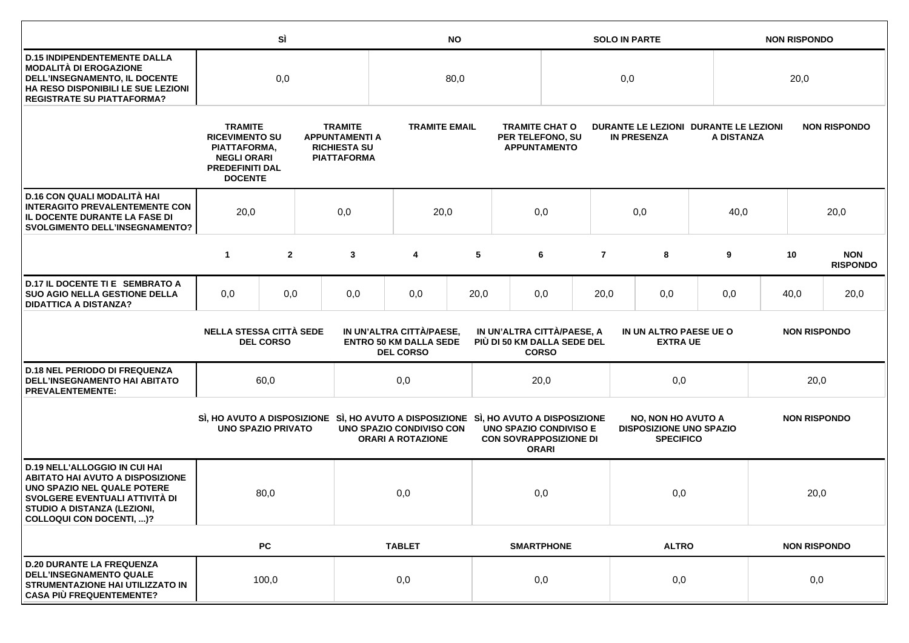|                                                                                                                                                                                                             |                                                                                                                                                                                                                  | SÌ             |  | <b>NO</b>                                                                                                       |                                                                  |      |                                                                | <b>SOLO IN PARTE</b>                                             |                                                             |                                                                                 |            | <b>NON RISPONDO</b> |                     |      |                               |
|-------------------------------------------------------------------------------------------------------------------------------------------------------------------------------------------------------------|------------------------------------------------------------------------------------------------------------------------------------------------------------------------------------------------------------------|----------------|--|-----------------------------------------------------------------------------------------------------------------|------------------------------------------------------------------|------|----------------------------------------------------------------|------------------------------------------------------------------|-------------------------------------------------------------|---------------------------------------------------------------------------------|------------|---------------------|---------------------|------|-------------------------------|
| <b>D.15 INDIPENDENTEMENTE DALLA</b><br><b>MODALITÀ DI EROGAZIONE</b><br>DELL'INSEGNAMENTO, IL DOCENTE<br>HA RESO DISPONIBILI LE SUE LEZIONI<br><b>REGISTRATE SU PIATTAFORMA?</b>                            | 0,0                                                                                                                                                                                                              |                |  | 80,0                                                                                                            |                                                                  |      |                                                                | 0,0                                                              |                                                             |                                                                                 |            | 20,0                |                     |      |                               |
|                                                                                                                                                                                                             | <b>TRAMITE</b><br><b>RICEVIMENTO SU</b><br>PIATTAFORMA,<br><b>NEGLI ORARI</b><br><b>PREDEFINITI DAL</b><br><b>DOCENTE</b>                                                                                        |                |  | <b>TRAMITE</b><br><b>APPUNTAMENTI A</b><br><b>RICHIESTA SU</b><br><b>PIATTAFORMA</b>                            | <b>TRAMITE EMAIL</b>                                             |      |                                                                | <b>TRAMITE CHAT O</b><br>PER TELEFONO, SU<br><b>APPUNTAMENTO</b> | DURANTE LE LEZIONI DURANTE LE LEZIONI<br><b>IN PRESENZA</b> |                                                                                 | A DISTANZA |                     | <b>NON RISPONDO</b> |      |                               |
| D.16 CON QUALI MODALITÀ HAI<br><b>INTERAGITO PREVALENTEMENTE CON</b><br>IL DOCENTE DURANTE LA FASE DI<br><b>SVOLGIMENTO DELL'INSEGNAMENTO?</b>                                                              | 20,0<br>0,0                                                                                                                                                                                                      |                |  | 20,0                                                                                                            |                                                                  | 0,0  |                                                                |                                                                  | 0,0                                                         |                                                                                 | 40,0       |                     |                     | 20,0 |                               |
|                                                                                                                                                                                                             | $\mathbf{1}$                                                                                                                                                                                                     | $\overline{2}$ |  | 3                                                                                                               | 4                                                                | 5    |                                                                | 6                                                                | $\overline{7}$                                              |                                                                                 | 8          | 9                   |                     | 10   | <b>NON</b><br><b>RISPONDO</b> |
| D.17 IL DOCENTE TI E SEMBRATO A<br><b>SUO AGIO NELLA GESTIONE DELLA</b><br><b>DIDATTICA A DISTANZA?</b>                                                                                                     | 0,0                                                                                                                                                                                                              | 0,0            |  | 0,0                                                                                                             | 0,0                                                              | 20,0 |                                                                | 0,0                                                              | 20,0                                                        |                                                                                 | 0,0        |                     |                     | 40,0 | 20,0                          |
|                                                                                                                                                                                                             | <b>NELLA STESSA CITTÀ SEDE</b><br>IN UN'ALTRA CITTÀ/PAESE,<br>IN UN'ALTRA CITTÀ/PAESE, A<br><b>ENTRO 50 KM DALLA SEDE</b><br>PIÙ DI 50 KM DALLA SEDE DEL<br><b>DEL CORSO</b><br><b>DEL CORSO</b><br><b>CORSO</b> |                |  |                                                                                                                 | IN UN ALTRO PAESE UE O<br><b>NON RISPONDO</b><br><b>EXTRA UE</b> |      |                                                                |                                                                  |                                                             |                                                                                 |            |                     |                     |      |                               |
| <b>D.18 NEL PERIODO DI FREQUENZA</b><br>DELL'INSEGNAMENTO HAI ABITATO<br><b>PREVALENTEMENTE:</b>                                                                                                            |                                                                                                                                                                                                                  | 60,0           |  |                                                                                                                 | 0,0                                                              |      |                                                                | 20,0                                                             |                                                             | 0,0                                                                             |            | 20,0                |                     |      |                               |
|                                                                                                                                                                                                             | <b>UNO SPAZIO PRIVATO</b>                                                                                                                                                                                        |                |  | SI, HO AVUTO A DISPOSIZIONE SI, HO AVUTO A DISPOSIZIONE SI, HO AVUTO A DISPOSIZIONE<br>UNO SPAZIO CONDIVISO CON | <b>ORARI A ROTAZIONE</b>                                         |      | <b>UNO SPAZIO CONDIVISO E</b><br><b>CON SOVRAPPOSIZIONE DI</b> | <b>ORARI</b>                                                     |                                                             | <b>NO, NON HO AVUTO A</b><br><b>DISPOSIZIONE UNO SPAZIO</b><br><b>SPECIFICO</b> |            | <b>NON RISPONDO</b> |                     |      |                               |
| <b>D.19 NELL'ALLOGGIO IN CUI HAI</b><br><b>ABITATO HAI AVUTO A DISPOSIZIONE</b><br>UNO SPAZIO NEL QUALE POTERE<br>SVOLGERE EVENTUALI ATTIVITÀ DI<br>STUDIO A DISTANZA (LEZIONI,<br>COLLOQUI CON DOCENTI, )? |                                                                                                                                                                                                                  | 80,0           |  |                                                                                                                 | 0,0                                                              |      |                                                                | 0,0                                                              |                                                             |                                                                                 |            | 0,0                 |                     | 20,0 |                               |
|                                                                                                                                                                                                             |                                                                                                                                                                                                                  | <b>PC</b>      |  |                                                                                                                 | <b>TABLET</b>                                                    |      |                                                                | <b>SMARTPHONE</b><br><b>ALTRO</b>                                |                                                             |                                                                                 |            | <b>NON RISPONDO</b> |                     |      |                               |
| <b>D.20 DURANTE LA FREQUENZA</b><br><b>DELL'INSEGNAMENTO QUALE</b><br>STRUMENTAZIONE HAI UTILIZZATO IN<br><b>CASA PIÙ FREQUENTEMENTE?</b>                                                                   |                                                                                                                                                                                                                  | 100,0          |  |                                                                                                                 | 0,0                                                              |      |                                                                | 0,0                                                              |                                                             | 0,0                                                                             |            | 0,0                 |                     |      |                               |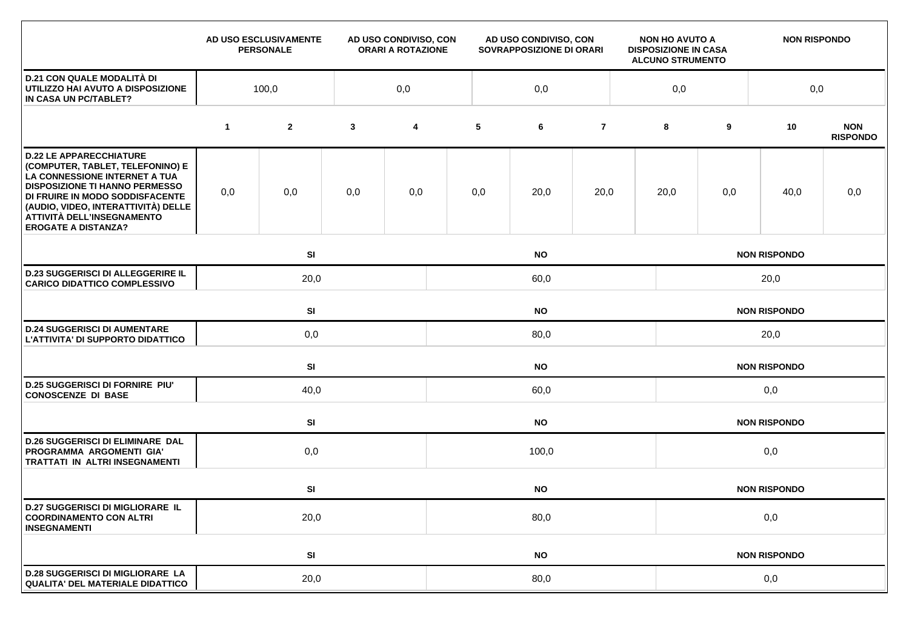|                                                                                                                                                                                                                                                                                    |              | AD USO ESCLUSIVAMENTE<br><b>PERSONALE</b> |              | AD USO CONDIVISO, CON<br><b>ORARI A ROTAZIONE</b> |           | AD USO CONDIVISO, CON<br>SOVRAPPOSIZIONE DI ORARI |                |                     | <b>NON HO AVUTO A</b><br><b>DISPOSIZIONE IN CASA</b><br><b>ALCUNO STRUMENTO</b> |     | <b>NON RISPONDO</b> |                               |  |  |  |
|------------------------------------------------------------------------------------------------------------------------------------------------------------------------------------------------------------------------------------------------------------------------------------|--------------|-------------------------------------------|--------------|---------------------------------------------------|-----------|---------------------------------------------------|----------------|---------------------|---------------------------------------------------------------------------------|-----|---------------------|-------------------------------|--|--|--|
| <b>D.21 CON QUALE MODALITÀ DI</b><br>UTILIZZO HAI AVUTO A DISPOSIZIONE<br>IN CASA UN PC/TABLET?                                                                                                                                                                                    | 100,0<br>0,0 |                                           |              |                                                   | 0,0       |                                                   |                |                     |                                                                                 |     | 0,0                 |                               |  |  |  |
|                                                                                                                                                                                                                                                                                    | $\mathbf{1}$ | $\mathbf{2}$                              | $\mathbf{3}$ | 4                                                 | 5         | 6                                                 | $\overline{7}$ |                     | 8                                                                               | 9   | 10                  | <b>NON</b><br><b>RISPONDO</b> |  |  |  |
| <b>D.22 LE APPARECCHIATURE</b><br>(COMPUTER, TABLET, TELEFONINO) E<br>LA CONNESSIONE INTERNET A TUA<br><b>DISPOSIZIONE TI HANNO PERMESSO</b><br>DI FRUIRE IN MODO SODDISFACENTE<br>(AUDIO, VIDEO, INTERATTIVITÀ) DELLE<br>ATTIVITÀ DELL'INSEGNAMENTO<br><b>EROGATE A DISTANZA?</b> | 0,0          | 0,0                                       | 0,0          | 0,0                                               | 0,0       | 20,0                                              | 20,0           |                     | 20,0                                                                            | 0,0 | 40,0                | 0,0                           |  |  |  |
|                                                                                                                                                                                                                                                                                    |              | SI<br><b>NO</b>                           |              |                                                   |           |                                                   |                |                     | <b>NON RISPONDO</b>                                                             |     |                     |                               |  |  |  |
| <b>D.23 SUGGERISCI DI ALLEGGERIRE IL</b><br><b>CARICO DIDATTICO COMPLESSIVO</b>                                                                                                                                                                                                    |              | 20,0<br>60,0                              |              |                                                   |           |                                                   |                |                     | 20,0                                                                            |     |                     |                               |  |  |  |
|                                                                                                                                                                                                                                                                                    |              | SI<br><b>NO</b>                           |              |                                                   |           |                                                   |                |                     | <b>NON RISPONDO</b>                                                             |     |                     |                               |  |  |  |
| <b>D.24 SUGGERISCI DI AUMENTARE</b><br>L'ATTIVITA' DI SUPPORTO DIDATTICO                                                                                                                                                                                                           |              | 0,0                                       |              |                                                   | 80,0      |                                                   |                | 20,0                |                                                                                 |     |                     |                               |  |  |  |
|                                                                                                                                                                                                                                                                                    |              | <b>SI</b>                                 |              |                                                   | <b>NO</b> |                                                   |                |                     |                                                                                 |     | <b>NON RISPONDO</b> |                               |  |  |  |
| <b>D.25 SUGGERISCI DI FORNIRE PIU'</b><br><b>CONOSCENZE DI BASE</b>                                                                                                                                                                                                                |              | 40,0                                      |              |                                                   | 60,0      |                                                   |                |                     |                                                                                 | 0,0 |                     |                               |  |  |  |
|                                                                                                                                                                                                                                                                                    |              | SI                                        |              |                                                   |           | <b>NO</b>                                         |                | <b>NON RISPONDO</b> |                                                                                 |     |                     |                               |  |  |  |
| <b>D.26 SUGGERISCI DI ELIMINARE DAL</b><br>PROGRAMMA ARGOMENTI GIA'<br>TRATTATI IN ALTRI INSEGNAMENTI                                                                                                                                                                              |              | 0,0                                       |              | 100,0                                             |           |                                                   |                |                     |                                                                                 | 0,0 |                     |                               |  |  |  |
|                                                                                                                                                                                                                                                                                    |              | SI                                        |              |                                                   | <b>NO</b> |                                                   |                |                     |                                                                                 |     | <b>NON RISPONDO</b> |                               |  |  |  |
| <b>D.27 SUGGERISCI DI MIGLIORARE IL</b><br><b>COORDINAMENTO CON ALTRI</b><br><b>INSEGNAMENTI</b>                                                                                                                                                                                   |              | 20,0                                      |              |                                                   | 80,0      |                                                   |                |                     | 0,0                                                                             |     |                     |                               |  |  |  |
|                                                                                                                                                                                                                                                                                    |              | SI                                        |              |                                                   |           | <b>NO</b>                                         |                |                     |                                                                                 |     | <b>NON RISPONDO</b> |                               |  |  |  |
| <b>D.28 SUGGERISCI DI MIGLIORARE LA</b><br><b>QUALITA' DEL MATERIALE DIDATTICO</b>                                                                                                                                                                                                 |              | 20,0                                      |              | 80,0                                              |           |                                                   |                |                     | 0,0                                                                             |     |                     |                               |  |  |  |